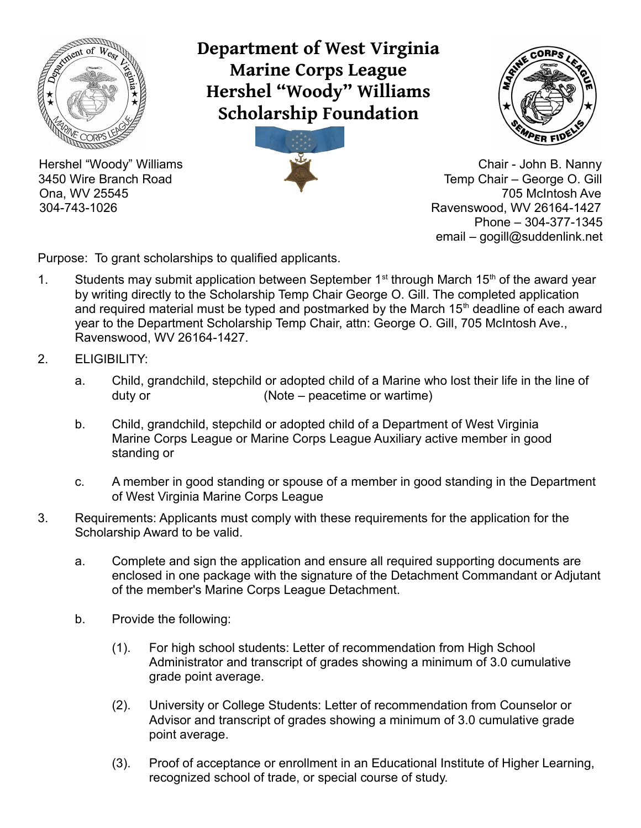

**Department of West Virginia Marine Corps League Hershel "Woody" Williams Scholarship Foundation**





Hershel "Woody" Williams Chair - John B. Nanny 3450 Wire Branch Road Temp Chair – George O. Gill Ona, WV 25545 705 McIntosh Ave 304-743-1026 Ravenswood, WV 26164-1427 Phone – 304-377-1345 email – gogill@suddenlink.net

Purpose: To grant scholarships to qualified applicants.

- 1. Students may submit application between September  $1<sup>st</sup>$  through March  $15<sup>th</sup>$  of the award year by writing directly to the Scholarship Temp Chair George O. Gill. The completed application and required material must be typed and postmarked by the March  $15<sup>th</sup>$  deadline of each award year to the Department Scholarship Temp Chair, attn: George O. Gill, 705 McIntosh Ave., Ravenswood, WV 26164-1427.
- 2. ELIGIBILITY:
	- a. Child, grandchild, stepchild or adopted child of a Marine who lost their life in the line of duty or  $(Note - peacetime)$
	- b. Child, grandchild, stepchild or adopted child of a Department of West Virginia Marine Corps League or Marine Corps League Auxiliary active member in good standing or
	- c. A member in good standing or spouse of a member in good standing in the Department of West Virginia Marine Corps League
- 3. Requirements: Applicants must comply with these requirements for the application for the Scholarship Award to be valid.
	- a. Complete and sign the application and ensure all required supporting documents are enclosed in one package with the signature of the Detachment Commandant or Adjutant of the member's Marine Corps League Detachment.
	- b. Provide the following:
		- (1). For high school students: Letter of recommendation from High School Administrator and transcript of grades showing a minimum of 3.0 cumulative grade point average.
		- (2). University or College Students: Letter of recommendation from Counselor or Advisor and transcript of grades showing a minimum of 3.0 cumulative grade point average.
		- (3). Proof of acceptance or enrollment in an Educational Institute of Higher Learning, recognized school of trade, or special course of study.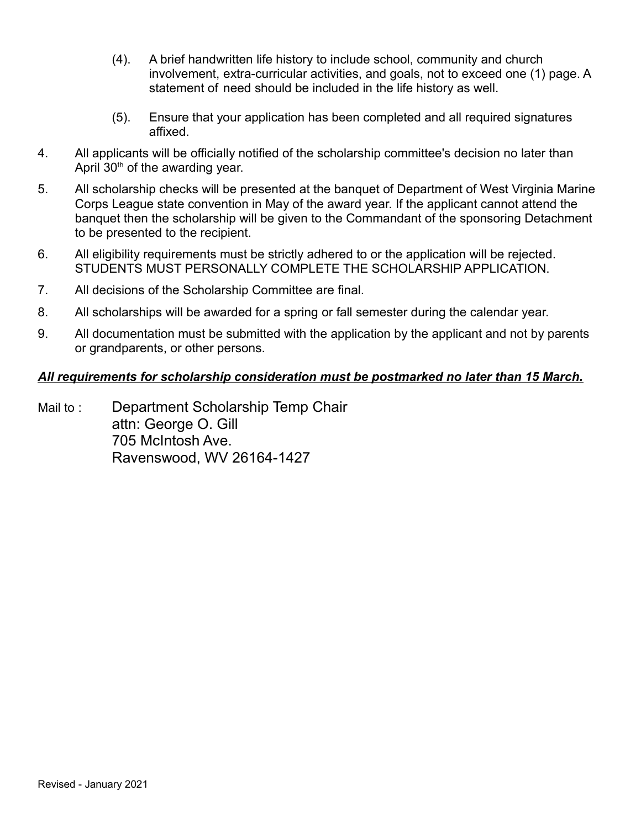- (4). A brief handwritten life history to include school, community and church involvement, extra-curricular activities, and goals, not to exceed one (1) page. A statement of need should be included in the life history as well.
- (5). Ensure that your application has been completed and all required signatures affixed.
- 4. All applicants will be officially notified of the scholarship committee's decision no later than April  $30<sup>th</sup>$  of the awarding year.
- 5. All scholarship checks will be presented at the banquet of Department of West Virginia Marine Corps League state convention in May of the award year. If the applicant cannot attend the banquet then the scholarship will be given to the Commandant of the sponsoring Detachment to be presented to the recipient.
- 6. All eligibility requirements must be strictly adhered to or the application will be rejected. STUDENTS MUST PERSONALLY COMPLETE THE SCHOLARSHIP APPLICATION.
- 7. All decisions of the Scholarship Committee are final.
- 8. All scholarships will be awarded for a spring or fall semester during the calendar year.
- 9. All documentation must be submitted with the application by the applicant and not by parents or grandparents, or other persons.

## *All requirements for scholarship consideration must be postmarked no later than 15 March.*

Mail to : Department Scholarship Temp Chair attn: George O. Gill 705 McIntosh Ave. Ravenswood, WV 26164-1427